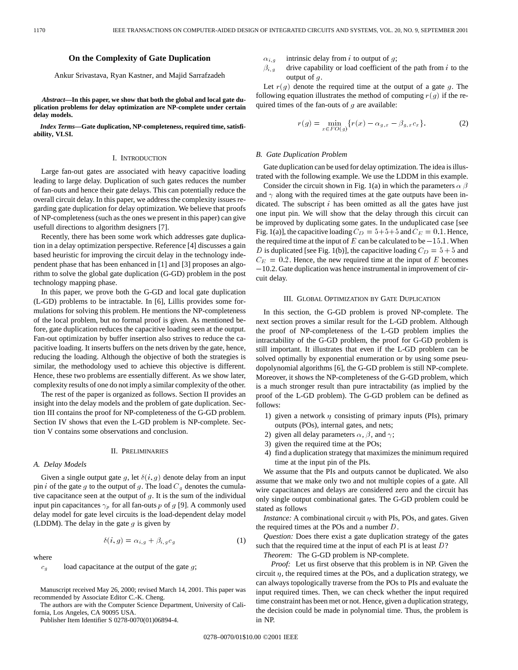## **On the Complexity of Gate Duplication**

Ankur Srivastava, Ryan Kastner, and Majid Sarrafzadeh

*Abstract—***In this paper, we show that both the global and local gate duplication problems for delay optimization are NP-complete under certain delay models.**

*Index Terms—***Gate duplication, NP-completeness, required time, satisfiability, VLSI.**

## I. INTRODUCTION

Large fan-out gates are associated with heavy capacitive loading leading to large delay. Duplication of such gates reduces the number of fan-outs and hence their gate delays. This can potentially reduce the overall circuit delay. In this paper, we address the complexity issues regarding gate duplication for delay optimization. We believe that proofs of NP-completeness (such as the ones we present in this paper) can give usefull directions to algorithm designers [7].

Recently, there has been some work which addresses gate duplication in a delay optimization perspective. Reference [4] discusses a gain based heuristic for improving the circuit delay in the technology independent phase that has been enhanced in [1] and [3] proposes an algorithm to solve the global gate duplication (G-GD) problem in the post technology mapping phase.

In this paper, we prove both the G-GD and local gate duplication (L-GD) problems to be intractable. In [6], Lillis provides some formulations for solving this problem. He mentions the NP-completeness of the local problem, but no formal proof is given. As mentioned before, gate duplication reduces the capacitive loading seen at the output. Fan-out optimization by buffer insertion also strives to reduce the capacitive loading. It inserts buffers on the nets driven by the gate, hence, reducing the loading. Although the objective of both the strategies is similar, the methodology used to achieve this objective is different. Hence, these two problems are essentially different. As we show later, complexity results of one do not imply a similar complexity of the other.

The rest of the paper is organized as follows. Section II provides an insight into the delay models and the problem of gate duplication. Section III contains the proof for NP-completeness of the G-GD problem. Section IV shows that even the L-GD problem is NP-complete. Section V contains some observations and conclusion.

### II. PRELIMINARIES

#### *A. Delay Models*

Given a single output gate g, let  $\delta(i, g)$  denote delay from an input pin i of the gate g to the output of g. The load  $C_g$  denotes the cumulative capacitance seen at the output of  $g$ . It is the sum of the individual input pin capacitances  $\gamma_p$  for all fan-outs p of g [9]. A commonly used delay model for gate level circuits is the load-dependent delay model (LDDM). The delay in the gate  $g$  is given by

$$
\delta(i,g) = \alpha_{i,g} + \beta_{i,g} c_g \tag{1}
$$

where

 $c_g$  load capacitance at the output of the gate g;

Manuscript received May 26, 2000; revised March 14, 2001. This paper was recommended by Associate Editor C.-K. Cheng.

The authors are with the Computer Science Department, University of California, Los Angeles, CA 90095 USA.

Publisher Item Identifier S 0278-0070(01)06894-4.

- $\alpha_{i,g}$  intrinsic delay from i to output of g;
- $\beta_{i,g}$  drive capability or load coefficient of the path from i to the output of  $q$ .

Let  $r(g)$  denote the required time at the output of a gate g. The following equation illustrates the method of computing  $r(g)$  if the required times of the fan-outs of  $q$  are available:

$$
r(g) = \min_{x \in F O(g)} \{r(x) - \alpha_{g,x} - \beta_{g,x} c_x\}.
$$
 (2)

## *B. Gate Duplication Problem*

Gate duplication can be used for delay optimization. The idea is illustrated with the following example. We use the LDDM in this example.

Consider the circuit shown in Fig. 1(a) in which the parameters  $\alpha \beta$ and  $\gamma$  along with the required times at the gate outputs have been indicated. The subscript  $i$  has been omitted as all the gates have just one input pin. We will show that the delay through this circuit can be improved by duplicating some gates. In the unduplicated case [see Fig. 1(a)], the capacitive loading  $C_D = 5+5+5$  and  $C_E = 0.1$ . Hence, the required time at the input of  $E$  can be calculated to be  $-15.1$ . When D is duplicated [see Fig. 1(b)], the capacitive loading  $C_D = 5+5$  and  $C_E = 0.2$ . Hence, the new required time at the input of E becomes 10.2. Gate duplication was hence instrumental in improvement of circuit delay.

#### III. GLOBAL OPTIMIZATION BY GATE DUPLICATION

In this section, the G-GD problem is proved NP-complete. The next section proves a similar result for the L-GD problem. Although the proof of NP-completeness of the L-GD problem implies the intractability of the G-GD problem, the proof for G-GD problem is still important. It illustrates that even if the L-GD problem can be solved optimally by exponential enumeration or by using some pseudopolynomial algorithms [6], the G-GD problem is still NP-complete. Moreover, it shows the NP-completeness of the G-GD problem, which is a much stronger result than pure intractability (as implied by the proof of the L-GD problem). The G-GD problem can be defined as follows:

- 1) given a network  $\eta$  consisting of primary inputs (PIs), primary outputs (POs), internal gates, and nets;
- 2) given all delay parameters  $\alpha$ ,  $\beta$ , and  $\gamma$ ;
- 3) given the required time at the POs;
- 4) find a duplication strategy that maximizes the minimum required time at the input pin of the PIs.

We assume that the PIs and outputs cannot be duplicated. We also assume that we make only two and not multiple copies of a gate. All wire capacitances and delays are considered zero and the circuit has only single output combinational gates. The G-GD problem could be stated as follows

*Instance:* A combinational circuit  $\eta$  with PIs, POs, and gates. Given the required times at the POs and a number D.

*Question:* Does there exist a gate duplication strategy of the gates such that the required time at the input of each PI is at least  $D$ ?

*Theorem:* The G-GD problem is NP-complete.

*Proof:* Let us first observe that this problem is in NP. Given the circuit  $\eta$ , the required times at the POs, and a duplication strategy, we can always topologically traverse from the POs to PIs and evaluate the input required times. Then, we can check whether the input required time constraint has been met or not. Hence, given a duplication strategy, the decision could be made in polynomial time. Thus, the problem is in NP.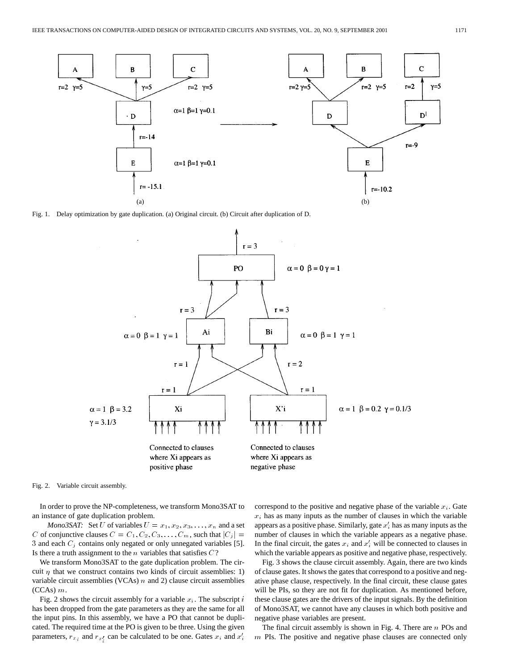

Fig. 1. Delay optimization by gate duplication. (a) Original circuit. (b) Circuit after duplication of D.



Fig. 2. Variable circuit assembly.

In order to prove the NP-completeness, we transform Mono3SAT to an instance of gate duplication problem.

*Mono3SAT:* Set U of variables  $U = x_1, x_2, x_3, \ldots, x_n$  and a set C of conjunctive clauses  $C = C_1, C_2, C_3, \ldots, C_m$ , such that  $|C_j|$  = 3 and each  $C_j$  contains only negated or only unnegated variables [5]. Is there a truth assignment to the  $n$  variables that satisfies  $C$ ?

We transform Mono3SAT to the gate duplication problem. The circuit  $\eta$  that we construct contains two kinds of circuit assemblies: 1) variable circuit assemblies (VCAs)  $n$  and 2) clause circuit assemblies (CCAs) m.

Fig. 2 shows the circuit assembly for a variable  $x_i$ . The subscript i has been dropped from the gate parameters as they are the same for all the input pins. In this assembly, we have a PO that cannot be duplicated. The required time at the PO is given to be three. Using the given parameters,  $\overrightarrow{r_{x_i}}$  and  $\overrightarrow{r_{x'_i}}$  can be calculated to be one. Gates  $\overrightarrow{x_i}$  and  $\overrightarrow{x_i}$ 

correspond to the positive and negative phase of the variable  $x_i$ . Gate  $x_i$  has as many inputs as the number of clauses in which the variable appears as a positive phase. Similarly, gate  $x_i'$  has as many inputs as the number of clauses in which the variable appears as a negative phase. In the final circuit, the gates  $x_i$  and  $x'_i$  will be connected to clauses in which the variable appears as positive and negative phase, respectively.

Fig. 3 shows the clause circuit assembly. Again, there are two kinds of clause gates. It shows the gates that correspond to a positive and negative phase clause, respectively. In the final circuit, these clause gates will be PIs, so they are not fit for duplication. As mentioned before, these clause gates are the drivers of the input signals. By the definition of Mono3SAT, we cannot have any clauses in which both positive and negative phase variables are present.

The final circuit assembly is shown in Fig. 4. There are  $n$  POs and m PIs. The positive and negative phase clauses are connected only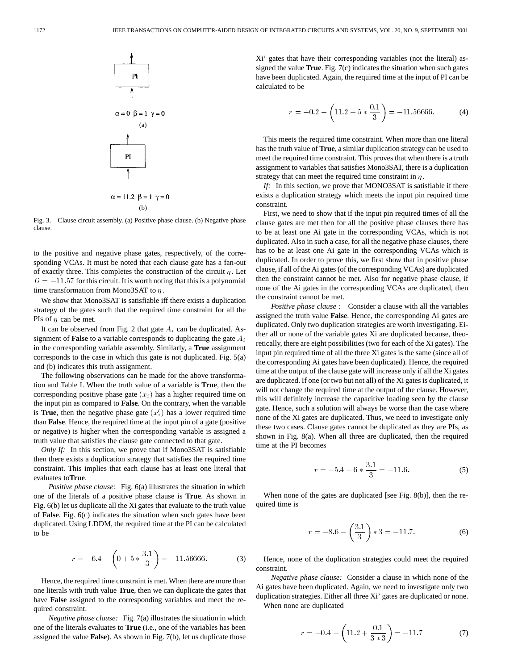

Fig. 3. Clause circuit assembly. (a) Positive phase clause. (b) Negative phase clause.

to the positive and negative phase gates, respectively, of the corresponding VCAs. It must be noted that each clause gate has a fan-out of exactly three. This completes the construction of the circuit  $\eta$ . Let  $D = -11.57$  for this circuit. It is worth noting that this is a polynomial time transformation from Mono3SAT to  $\eta$ .

We show that Mono3SAT is satisfiable iff there exists a duplication strategy of the gates such that the required time constraint for all the PIs of  $\eta$  can be met.

It can be observed from Fig. 2 that gate  $A_i$  can be duplicated. Assignment of **False** to a variable corresponds to duplicating the gate  $A_i$ in the corresponding variable assembly. Similarly, a **True** assignment corresponds to the case in which this gate is not duplicated. Fig. 5(a) and (b) indicates this truth assignment.

The following observations can be made for the above transformation and Table I. When the truth value of a variable is **True**, then the corresponding positive phase gate  $(x_i)$  has a higher required time on the input pin as compared to **False**. On the contrary, when the variable is **True**, then the negative phase gate  $(x_i)$  has a lower required time than **False**. Hence, the required time at the input pin of a gate (positive or negative) is higher when the corresponding variable is assigned a truth value that satisfies the clause gate connected to that gate.

*Only If:* In this section, we prove that if Mono3SAT is satisfiable then there exists a duplication strategy that satisfies the required time constraint. This implies that each clause has at least one literal that evaluates to**True**.

*Positive phase clause:* Fig. 6(a) illustrates the situation in which one of the literals of a positive phase clause is **True**. As shown in Fig. 6(b) let us duplicate all the Xi gates that evaluate to the truth value of **False**. Fig. 6(c) indicates the situation when such gates have been duplicated. Using LDDM, the required time at the PI can be calculated to be

$$
r = -6.4 - \left(0 + 5 * \frac{3.1}{3}\right) = -11.56666. \tag{3}
$$

Hence, the required time constraint is met. When there are more than one literals with truth value **True**, then we can duplicate the gates that have **False** assigned to the corresponding variables and meet the required constraint.

*Negative phase clause:* Fig. 7(a) illustrates the situation in which one of the literals evaluates to **True** (i.e., one of the variables has been assigned the value **False**). As shown in Fig. 7(b), let us duplicate those Xi' gates that have their corresponding variables (not the literal) assigned the value **True**. Fig. 7(c) indicates the situation when such gates have been duplicated. Again, the required time at the input of PI can be calculated to be

$$
r = -0.2 - \left(11.2 + 5 * \frac{0.1}{3}\right) = -11.56666.
$$
 (4)

This meets the required time constraint. When more than one literal has the truth value of **True**, a similar duplication strategy can be used to meet the required time constraint. This proves that when there is a truth assignment to variables that satisfies Mono3SAT, there is a duplication strategy that can meet the required time constraint in  $\eta$ .

*If:* In this section, we prove that MONO3SAT is satisfiable if there exists a duplication strategy which meets the input pin required time constraint.

First, we need to show that if the input pin required times of all the clause gates are met then for all the positive phase clauses there has to be at least one Ai gate in the corresponding VCAs, which is not duplicated. Also in such a case, for all the negative phase clauses, there has to be at least one Ai gate in the corresponding VCAs which is duplicated. In order to prove this, we first show that in positive phase clause, if all of the Ai gates (of the corresponding VCAs) are duplicated then the constraint cannot be met. Also for negative phase clause, if none of the Ai gates in the corresponding VCAs are duplicated, then the constraint cannot be met.

*Positive phase clause :* Consider a clause with all the variables assigned the truth value **False**. Hence, the corresponding Ai gates are duplicated. Only two duplication strategies are worth investigating. Either all or none of the variable gates Xi are duplicated because, theoretically, there are eight possibilities (two for each of the Xi gates). The input pin required time of all the three Xi gates is the same (since all of the corresponding Ai gates have been duplicated). Hence, the required time at the output of the clause gate will increase only if all the Xi gates are duplicated. If one (or two but not all) of the Xi gates is duplicated, it will not change the required time at the output of the clause. However, this will definitely increase the capacitive loading seen by the clause gate. Hence, such a solution will always be worse than the case where none of the Xi gates are duplicated. Thus, we need to investigate only these two cases. Clause gates cannot be duplicated as they are PIs, as shown in Fig. 8(a). When all three are duplicated, then the required time at the PI becomes

$$
r = -5.4 - 6 * \frac{3.1}{3} = -11.6.
$$
 (5)

When none of the gates are duplicated [see Fig. 8(b)], then the required time is

$$
r = -8.6 - \left(\frac{3.1}{3}\right) * 3 = -11.7. \tag{6}
$$

Hence, none of the duplication strategies could meet the required constraint.

*Negative phase clause:* Consider a clause in which none of the Ai gates have been duplicated. Again, we need to investigate only two duplication strategies. Either all three Xi' gates are duplicated or none. When none are duplicated

$$
r = -0.4 - \left(11.2 + \frac{0.1}{3 \times 3}\right) = -11.7\tag{7}
$$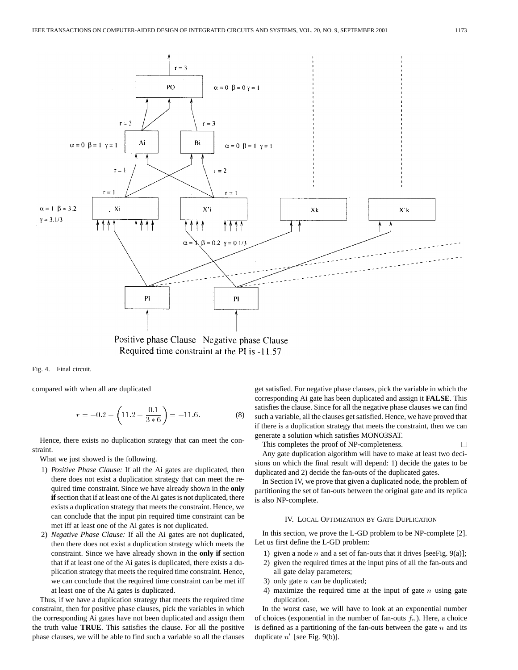

Required time constraint at the PI is -11.57

## Fig. 4. Final circuit.

compared with when all are duplicated

$$
r = -0.2 - \left(11.2 + \frac{0.1}{3 \times 6}\right) = -11.6.
$$
 (8)

Hence, there exists no duplication strategy that can meet the constraint.

What we just showed is the following.

- 1) *Positive Phase Clause:* If all the Ai gates are duplicated, then there does not exist a duplication strategy that can meet the required time constraint. Since we have already shown in the **only if** section that if at least one of the Ai gates is not duplicated, there exists a duplication strategy that meets the constraint. Hence, we can conclude that the input pin required time constraint can be met iff at least one of the Ai gates is not duplicated.
- 2) *Negative Phase Clause:* If all the Ai gates are not duplicated, then there does not exist a duplication strategy which meets the constraint. Since we have already shown in the **only if** section that if at least one of the Ai gates is duplicated, there exists a duplication strategy that meets the required time constraint. Hence, we can conclude that the required time constraint can be met iff at least one of the Ai gates is duplicated.

Thus, if we have a duplication strategy that meets the required time constraint, then for positive phase clauses, pick the variables in which the corresponding Ai gates have not been duplicated and assign them the truth value **TRUE**. This satisfies the clause. For all the positive phase clauses, we will be able to find such a variable so all the clauses get satisfied. For negative phase clauses, pick the variable in which the corresponding Ai gate has been duplicated and assign it **FALSE**. This satisfies the clause. Since for all the negative phase clauses we can find such a variable, all the clauses get satisfied. Hence, we have proved that if there is a duplication strategy that meets the constraint, then we can generate a solution which satisfies MONO3SAT.

This completes the proof of NP-completeness.

Any gate duplication algorithm will have to make at least two decisions on which the final result will depend: 1) decide the gates to be duplicated and 2) decide the fan-outs of the duplicated gates.

In Section IV, we prove that given a duplicated node, the problem of partitioning the set of fan-outs between the original gate and its replica is also NP-complete.

# IV. LOCAL OPTIMIZATION BY GATE DUPLICATION

In this section, we prove the L-GD problem to be NP-complete [2]. Let us first define the L-GD problem:

- 1) given a node *n* and a set of fan-outs that it drives [seeFig. 9(a)];
- 2) given the required times at the input pins of all the fan-outs and all gate delay parameters;
- 3) only gate  $n$  can be duplicated;
- 4) maximize the required time at the input of gate  $n$  using gate duplication.

In the worst case, we will have to look at an exponential number of choices (exponential in the number of fan-outs  $f_n$ ). Here, a choice is defined as a partitioning of the fan-outs between the gate  $n$  and its duplicate  $n'$  [see Fig. 9(b)].

П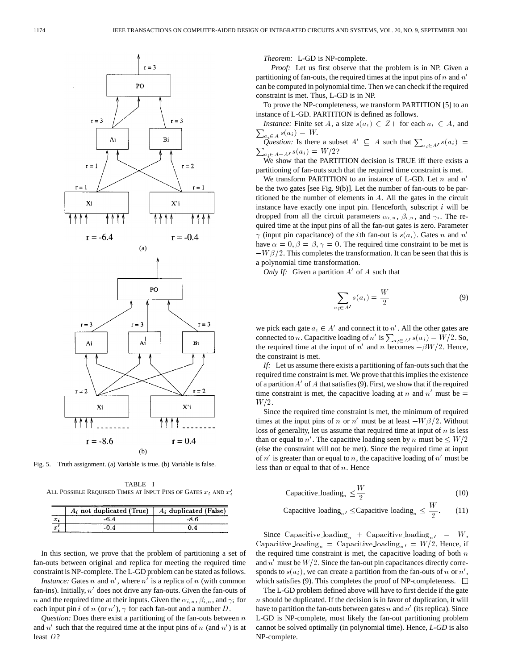

Fig. 5. Truth assignment. (a) Variable is true. (b) Variable is false.

TABLE I ALL POSSIBLE REQUIRED TIMES AT INPUT PINS OF GATES  $x_i$  and  $x'_i$ 

|                  | $A_i$ not duplicated (True) | $A_i$ duplicated (False) |
|------------------|-----------------------------|--------------------------|
| $\boldsymbol{x}$ | -6.4                        |                          |
| $\boldsymbol{x}$ | -11.4                       |                          |

In this section, we prove that the problem of partitioning a set of fan-outs between original and replica for meeting the required time constraint is NP-complete. The L-GD problem can be stated as follows.

*Instance:* Gates  $\overrightarrow{n}$  and  $\overrightarrow{n}$ , where  $\overrightarrow{n}$  is a replica of  $\overrightarrow{n}$  (with common fan-ins). Initially,  $n'$  does not drive any fan-outs. Given the fan-outs of *n* and the required time at their inputs. Given the  $\alpha_{i,n}$ ,  $\beta_{i,n}$ , and  $\gamma_i$  for each input pin i of n (or n'),  $\gamma$  for each fan-out and a number D.

*Question:* Does there exist a partitioning of the fan-outs between n and  $n'$  such that the required time at the input pins of n (and  $n'$ ) is at least D?

*Theorem:* L-GD is NP-complete.

*Proof:* Let us first observe that the problem is in NP. Given a partitioning of fan-outs, the required times at the input pins of  $n$  and  $n'$ can be computed in polynomial time. Then we can check if the required constraint is met. Thus, L-GD is in NP.

To prove the NP-completeness, we transform PARTITION [5] to an instance of L-GD. PARTITION is defined as follows.

*Instance:* Finite set A, a size  $s(a_i) \in Z+$  for each  $a_i \in A$ , and  $\sum_{a_i \in A} s(a_i) = W.$ 

*Question:* Is there a subset  $A' \subseteq A$  such that  $\sum_{a_i \in A'} s(a_i) =$  $\sum_{a_i \in A - A'} s(a_i) = W/2?$ 

We show that the PARTITION decision is TRUE iff there exists a partitioning of fan-outs such that the required time constraint is met.

We transform PARTITION to an instance of L-GD. Let  $n$  and  $n'$ be the two gates [see Fig. 9(b)]. Let the number of fan-outs to be partitioned be the number of elements in  $A$ . All the gates in the circuit instance have exactly one input pin. Henceforth, subscript  $i$  will be dropped from all the circuit parameters  $\alpha_{i,n}$ ,  $\beta_{i,n}$ , and  $\gamma_i$ . The required time at the input pins of all the fan-out gates is zero. Parameter  $\gamma$  (input pin capacitance) of the *i*th fan-out is  $s(a_i)$ . Gates n and n' have  $\alpha = 0, \beta = \beta, \gamma = 0$ . The required time constraint to be met is  $-W\beta/2$ . This completes the transformation. It can be seen that this is a polynomial time transformation.

*Only If:* Given a partition  $A'$  of A such that

$$
\sum_{a_i \in A'} s(a_i) = \frac{W}{2} \tag{9}
$$

we pick each gate  $a_i \in A'$  and connect it to n'. All the other gates are connected to *n*. Capacitive loading of *n'* is  $\sum_{a_i \in A} s(a_i) = W/2$ . So, the required time at the input of  $n'$  and n becomes  $-\beta W/2$ . Hence, the constraint is met.

*If:* Let us assume there exists a partitioning of fan-outs such that the required time constraint is met. We prove that this implies the existence of a partition  $A'$  of A that satisfies (9). First, we show that if the required time constraint is met, the capacitive loading at n and  $n'$  must be =  $W/2$ .

Since the required time constraint is met, the minimum of required times at the input pins of n or n' must be at least  $-W\beta/2$ . Without loss of generality, let us assume that required time at input of  $n$  is less than or equal to n'. The capacitive loading seen by n must be  $\leq W/2$ (else the constraint will not be met). Since the required time at input of  $n'$  is greater than or equal to n, the capacitive loading of  $n'$  must be less than or equal to that of  $n$ . Hence

Capacitive-loading<sub>n</sub> 
$$
\leq \frac{W}{2}
$$
 (10)

Capacitive–loading<sub>n</sub>, 
$$
\leq
$$
Capacitive–loading<sub>n</sub>  $\leq \frac{W}{2}$ . (11)

Since Capacitive loading<sub>n</sub> + Capacitive loading<sub>n</sub>, = W, Capacitive loading<sub>n</sub> = Capacitive loading<sub>n</sub>, =  $W/2$ . Hence, if the required time constraint is met, the capacitive loading of both  $n$ and  $n'$  must be  $W/2$ . Since the fan-out pin capacitances directly corresponds to  $s(a_i)$ , we can create a partition from the fan-outs of n or  $n'$ , which satisfies (9). This completes the proof of NP-completeness.  $\Box$ 

The L-GD problem defined above will have to first decide if the gate  $n$  should be duplicated. If the decision is in favor of duplication, it will have to partition the fan-outs between gates n and  $n'$  (its replica). Since L-GD is NP-complete, most likely the fan-out partitioning problem cannot be solved optimally (in polynomial time). Hence, *L-GD* is also NP-complete.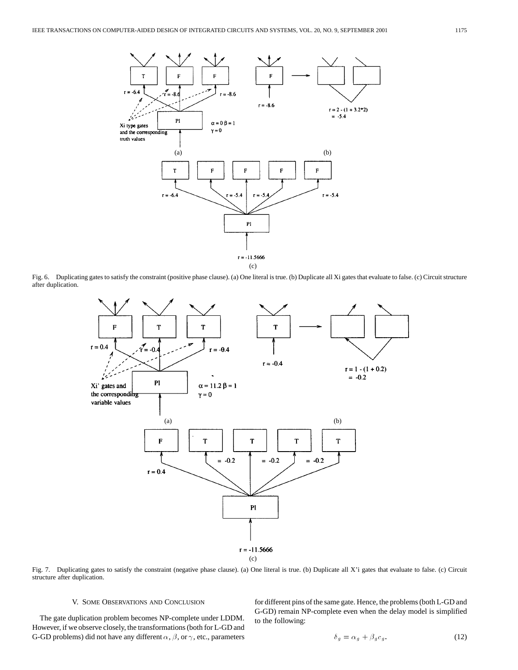

Fig. 6. Duplicating gates to satisfy the constraint (positive phase clause). (a) One literal is true. (b) Duplicate all Xi gates that evaluate to false. (c) Circuit structure after duplication.



Fig. 7. Duplicating gates to satisfy the constraint (negative phase clause). (a) One literal is true. (b) Duplicate all X'i gates that evaluate to false. (c) Circuit structure after duplication.

# V. SOME OBSERVATIONS AND CONCLUSION

The gate duplication problem becomes NP-complete under LDDM. However, if we observe closely, the transformations (both for L-GD and G-GD problems) did not have any different  $\alpha$ ,  $\beta$ , or  $\gamma$ , etc., parameters

for different pins of the same gate. Hence, the problems (both L-GD and G-GD) remain NP-complete even when the delay model is simplified to the following:

$$
\delta_g = \alpha_g + \beta_g c_g. \tag{12}
$$